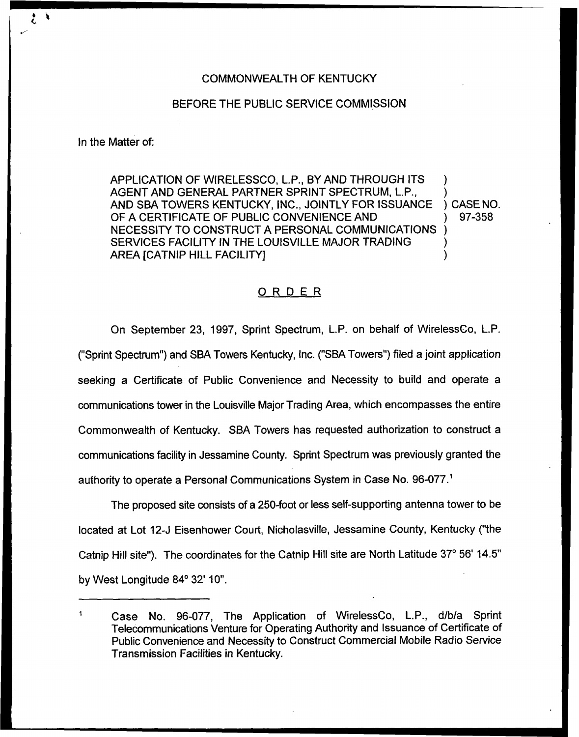## COMMONWEALTH OF KENTUCKY

## BEFORE THE PUBLIC SERVICE COMMISSION

In the Matter of:

APPLICATION OF WIRELESSCO, L.P., BY AND THROUGH ITS AGENT AND GENERAL PARTNER SPRINT SPECTRUM, L.P., AND SBA TOWERS KENTUCKY, INC., JOINTLY FOR ISSUANCE OF A CERTIFICATE OF PUBLIC CONVENIENCE AND NECESSITY TO CONSTRUCT A PERSONAL COMMUNICATIONS SERVICES FACILITY IN THE LOUISVILLE MAJOR TRADING AREA fCATNIP HILL FACILITY] ) ) ) ) )

) CASE NO. ) 97-358

## ORDER

On September 23, 1997, Sprint Spectrum, L.P. on behalf of WirelessCo, L.P. ("Sprint Spectrum") and SBA Towers Kentucky, Inc. ("SBA Towers") filed a joint applicatio seeking a Certificate of Public Convenience and Necessity to build and operate a communications tower in the Louisville Major Trading Area, which encompasses the entire Commonwealth of Kentucky. SBA Towers has requested authorization to construct a communications facility in Jessamine County. Sprint Spectrum was previously granted the authority to operate a Personal Communications System in Case No. 96-077.<sup>1</sup>

The proposed site consists of a 250-foot or less self-supporting antenna tower to be located at Lot 12-J Eisenhower Court, Nicholasvifle, Jessamine County, Kentucky ("the Catnip Hill site"). The coordinates for the Catnip Hill site are North Latitude 37° 56' 14.5" by West Longitude 84° 32' 10".

Case No. 96-077, The Application of WirelessCo, L.P., d/b/a Sprint Telecommunications Venture for Operating Authority and Issuance of Certificate of Public Convenience and Necessity to Construct Commercial Mobile Radio Service Transmission Facilities in Kentucky.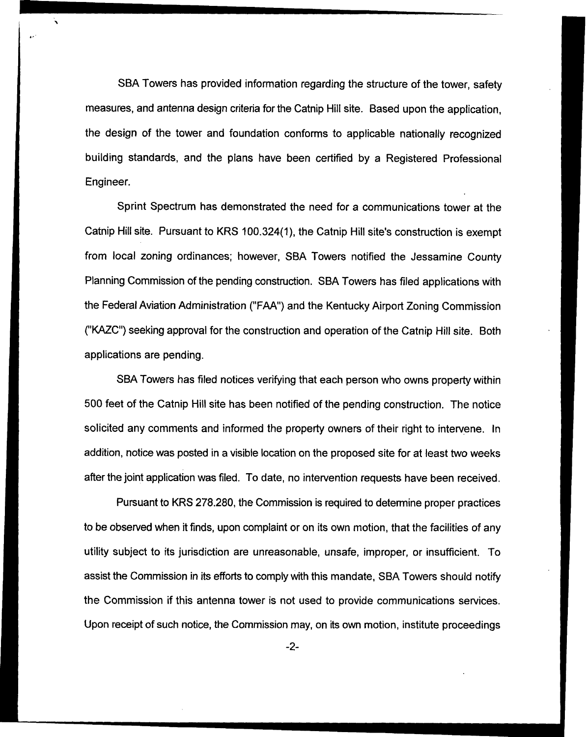SBA Towers has provided information regarding the structure of the tower, safety measures, and antenna design criteria for the Catnip Hill site. Based upon the application, the design of the tower and foundation conforms to applicable nationally recognized building standards, and the plans have been certified by a Registered Professional Engineer.

Sprint Spectrum has demonstrated the need for a communications tower at the Catnip Hill site. Pursuant to KRS 100.324(1), the Catnip Hill site's construction is exempt from local zoning ordinances; however, SBA Towers notified the Jessamine County Planning Commission of the pending construction. SBA Towers has filed applications with the Federal Aviation Administration ("FAA") and the Kentucky Airport Zoning Commission ("KAZC") seeking approval for the construction and operation of the Catnip Hill site, Both applications are pending.

SBA Towers has filed notices verifying that each person who owns property within 500 feet of the Catnip Hill site has been notified of the pending construction. The notice solicited any comments and informed the property owners of their right to intervene. In addition, notice was posted in a visible location on the proposed site for at least two weeks after the joint application was fited. To date, no intervention requests have been received.

Pursuant to KRS 278.280, the Commission is required to determine proper practices to be observed when it finds, upon complaint or on its own motion, that the facilities of any utility subject to its jurisdiction are unreasonable, unsafe, improper, or insufficient. To assist the Commission in its efforts to comply with this mandate, SBA Towers should notify the Commission if this antenna tower is not used to provide communications services. Upon receipt of such notice, the Commission may, on its own motion, institute proceedings

-2-